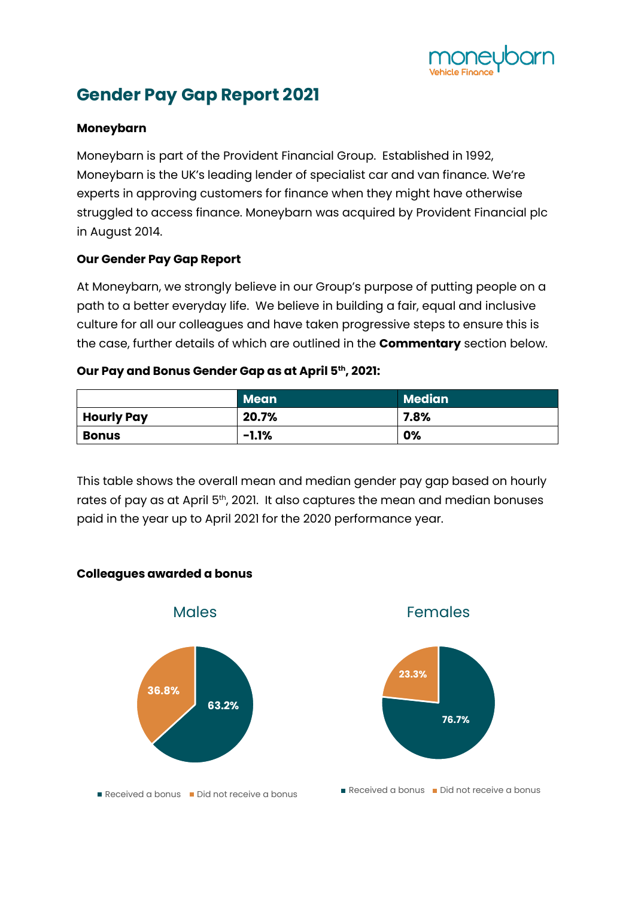

## **Gender Pay Gap Report 2021**

#### **Moneybarn**

Moneybarn is part of the Provident Financial Group. Established in 1992, Moneybarn is the UK's leading lender of specialist car and van finance. We're experts in approving customers for finance when they might have otherwise struggled to access finance. Moneybarn was acquired by Provident Financial plc in August 2014.

### **Our Gender Pay Gap Report**

At Moneybarn, we strongly believe in our Group's purpose of putting people on a path to a better everyday life. We believe in building a fair, equal and inclusive culture for all our colleagues and have taken progressive steps to ensure this is the case, further details of which are outlined in the **Commentary** section below.

#### **Our Pay and Bonus Gender Gap as at April 5th, 2021:**

|                   | <b>Mean</b> | Median <sup>1</sup> |
|-------------------|-------------|---------------------|
| <b>Hourly Pay</b> | 20.7%       | 7.8%                |
| <b>Bonus</b>      | $-1.1\%$    | 0%                  |

This table shows the overall mean and median gender pay gap based on hourly rates of pay as at April 5<sup>th</sup>, 2021. It also captures the mean and median bonuses paid in the year up to April 2021 for the 2020 performance year.

### **Colleagues awarded a bonus**

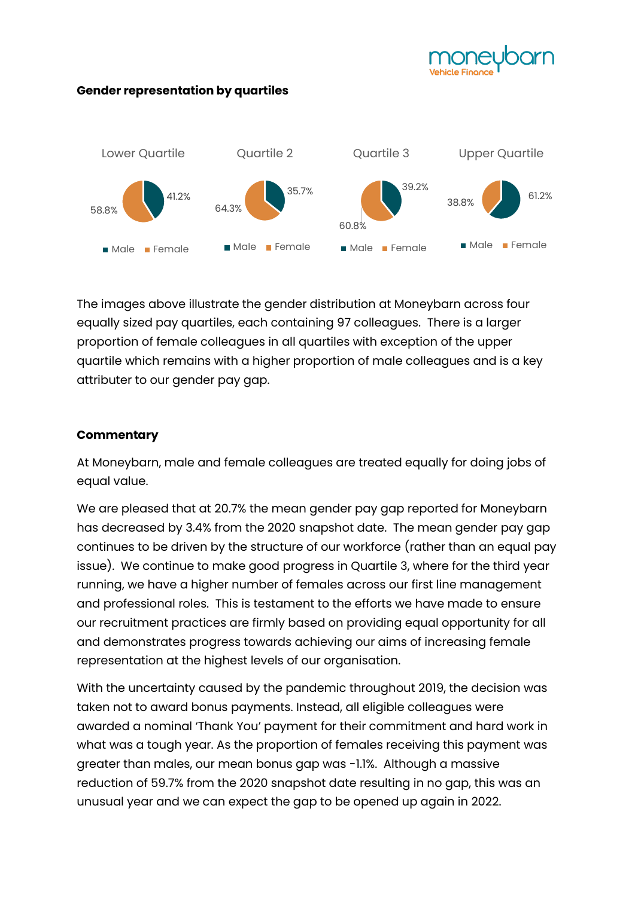

#### **Gender representation by quartiles**



The images above illustrate the gender distribution at Moneybarn across four equally sized pay quartiles, each containing 97 colleagues. There is a larger proportion of female colleagues in all quartiles with exception of the upper quartile which remains with a higher proportion of male colleagues and is a key attributer to our gender pay gap.

### **Commentary**

At Moneybarn, male and female colleagues are treated equally for doing jobs of equal value.

We are pleased that at 20.7% the mean gender pay gap reported for Moneybarn has decreased by 3.4% from the 2020 snapshot date. The mean gender pay gap continues to be driven by the structure of our workforce (rather than an equal pay issue). We continue to make good progress in Quartile 3, where for the third year running, we have a higher number of females across our first line management and professional roles. This is testament to the efforts we have made to ensure our recruitment practices are firmly based on providing equal opportunity for all and demonstrates progress towards achieving our aims of increasing female representation at the highest levels of our organisation.

With the uncertainty caused by the pandemic throughout 2019, the decision was taken not to award bonus payments. Instead, all eligible colleagues were awarded a nominal 'Thank You' payment for their commitment and hard work in what was a tough year. As the proportion of females receiving this payment was greater than males, our mean bonus gap was -1.1%. Although a massive reduction of 59.7% from the 2020 snapshot date resulting in no gap, this was an unusual year and we can expect the gap to be opened up again in 2022.